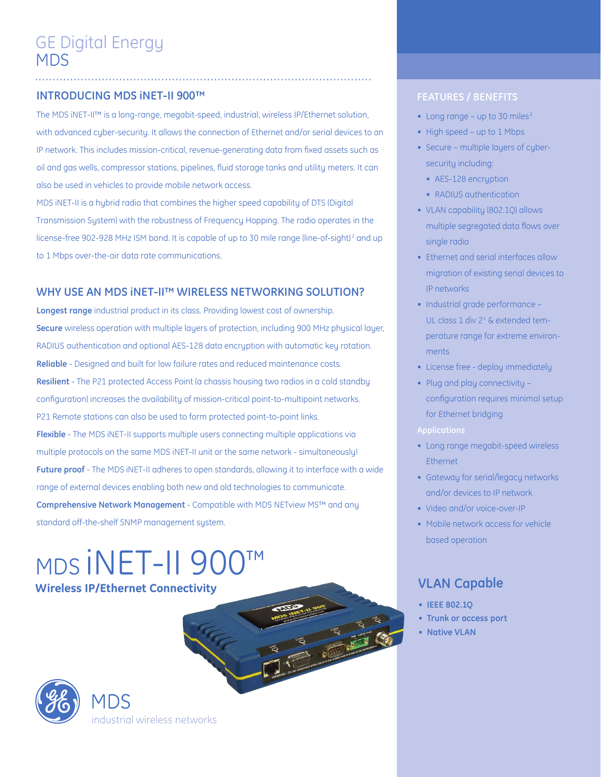# **INTRODUCING MDS iNET-II 900™ FEATURES / BENEFITS**

The MDS iNET-II™ is a long-range, megabit-speed, industrial, wireless IP/Ethernet solution, with advanced cyber-security. It allows the connection of Ethernet and/or serial devices to an IP network. This includes mission-critical, revenue-generating data from fixed assets such as oil and gas wells, compressor stations, pipelines, fluid storage tanks and utility meters. It can also be used in vehicles to provide mobile network access.

............................................................... .................................

MDS iNET-II is a hybrid radio that combines the higher speed capability of DTS (Digital Transmission System) with the robustness of Frequency Hopping. The radio operates in the license-free 902-928 MHz ISM band. It is capable of up to 30 mile range (line-of-sight)<sup>2</sup> and up to 1 Mbps over-the-air data rate communications.

# **WHY USE AN MDS iNET-II™ WIRELESS NETWORKING SOLUTION?**

**Longest range** industrial product in its class. Providing lowest cost of ownership. **Secure** wireless operation with multiple layers of protection, including 900 MHz physical layer, RADIUS authentication and optional AES-128 data encryption with automatic key rotation. **Reliable** - Designed and built for low failure rates and reduced maintenance costs. **Resilient** - The P21 protected Access Point (a chassis housing two radios in a cold standby configuration) increases the availability of mission-critical point-to-multipoint networks. P21 Remote stations can also be used to form protected point-to-point links. **Flexible** - The MDS iNET-II supports multiple users connecting multiple applications via multiple protocols on the same MDS iNET-II unit or the same network - simultaneously! **Future proof** - The MDS iNET-II adheres to open standards, allowing it to interface with a wide range of external devices enabling both new and old technologies to communicate. **Comprehensive Network Management** - Compatible with MDS NETview MS™ and any standard off-the-shelf SNMP management system.

MDS iNET-II 900™ **Wireless IP/Ethernet Connectivity**



# industrial wireless networks

- Long range up to 30 miles<sup>2</sup>
- High speed up to 1 Mbps
- Secure multiple layers of cybersecurity including:
	- AES-128 encruption
	- RADIUS authentication
- VLAN capability (802.1Q) allows multiple segregated data flows over single radio
- Ethernet and serial interfaces allow migration of existing serial devices to IP networks
- Industrial grade performance -UL class 1 div 21 & extended temperature range for extreme environments
- License free deploy immediately
- Plug and play connectivity configuration requires minimal setup for Ethernet bridging
- **Applications**
- Long range megabit-speed wireless Ethernet
- Gateway for serial/legacy networks and/or devices to IP network
- Video and/or voice-over-IP
- Mobile network access for vehicle based operation

# **VLAN Capable**

- **• IEEE 802.1Q**
- **• Trunk or access port**
- **• Native VLAN**